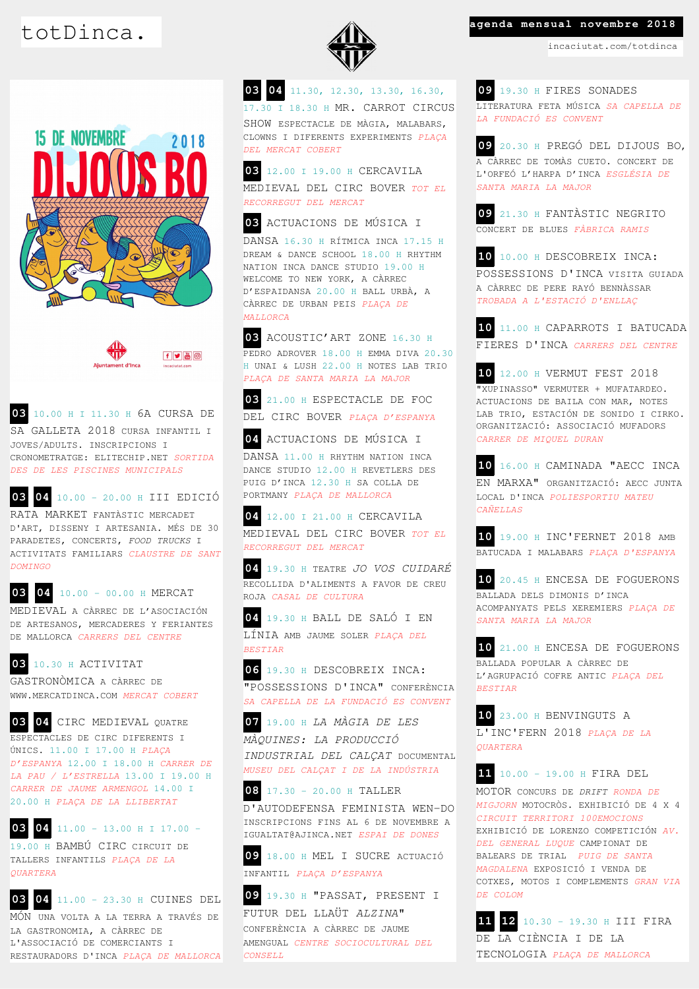



**03** 10.00 H I 11.30 H 6A CURSA DE SA GALLETA 2018 CURSA INFANTIL I JOVES/ADULTS. INSCRIPCIONS I CRONOMETRATGE: ELITECHIP.NET *SORTIDA DES DE LES PISCINES MUNICIPALS*

**03 04** 10.00 - 20.00 H III EDICIÓ

RATA MARKET FANTÀSTIC MERCADET D'ART, DISSENY I ARTESANIA. MÉS DE 30 PARADETES, CONCERTS, *FOOD TRUCKS* I ACTIVITATS FAMILIARS *CLAUSTRE DE SANT DOMINGO*

**03 04** 10.00 – 00.00 H MERCAT MEDIEVAL A CÀRREC DE L'ASOCIACIÓN DE ARTESANOS, MERCADERES Y FERIANTES DE MALLORCA *CARRERS DEL CENTRE*

## **03** 10.30 H ACTIVITAT

GASTRONÒMICA A CÀRREC DE WWW.MERCATDINCA.COM *MERCAT COBERT*

**03 04** CIRC MEDIEVAL QUATRE ESPECTACLES DE CIRC DIFERENTS I ÚNICS. 11.00 I 17.00 H *PLAÇA D'ESPANYA* 12.00 I 18.00 H *CARRER DE LA PAU / L'ESTRELLA* 13.00 I 19.00 H *CARRER DE JAUME ARMENGOL* 14.00 I 20.00 H *PLAÇA DE LA LLIBERTAT*

**03 04** 11.00 - 13.00 H I 17.00 – 19.00 H BAMBÚ CIRC CIRCUIT DE TALLERS INFANTILS *PLAÇA DE LA QUARTERA*

**03 04** 11.00 – 23.30 H CUINES DEL

MÓN UNA VOLTA A LA TERRA A TRAVÉS DE LA GASTRONOMIA, A CÀRREC DE L'ASSOCIACIÓ DE COMERCIANTS I RESTAURADORS D'INCA *PLAÇA DE MALLORCA*



**03 04** 11.30, 12.30, 13.30, 16.30, 17.30 I 18.30 H MR. CARROT CIRCUS SHOW ESPECTACLE DE MÀGIA, MALABARS, CLOWNS I DIFERENTS EXPERIMENTS *PLAÇA DEL MERCAT COBERT*

**03** 12.00 I 19.00 H CERCAVILA MEDIEVAL DEL CIRC BOVER *TOT EL RECORREGUT DEL MERCAT*

**03** ACTUACIONS DE MÚSICA I

DANSA 16.30 H RÍTMICA INCA 17.15 H DREAM & DANCE SCHOOL 18.00 H RHYTHM NATION INCA DANCE STUDIO 19.00 H WELCOME TO NEW YORK, A CÀRREC D'ESPAIDANSA 20.00 H BALL URBÀ, A CÀRREC DE URBAN PEIS *PLAÇA DE MALLORCA*

**03** ACOUSTIC'ART ZONE 16.30 H PEDRO ADROVER 18.00 H EMMA DIVA 20.30 H UNAI & LUSH 22.00 H NOTES LAB TRIO *PLAÇA DE SANTA MARIA LA MAJOR*

**03** 21.00 H ESPECTACLE DE FOC DEL CIRC BOVER *PLAÇA D'ESPANYA*

**04** ACTUACIONS DE MÚSICA I

DANSA 11.00 H RHYTHM NATION INCA DANCE STUDIO 12.00 H REVETLERS DES PUIG D'INCA 12.30 H SA COLLA DE PORTMANY *PLAÇA DE MALLORCA*

**04** 12.00 I 21.00 H CERCAVILA MEDIEVAL DEL CIRC BOVER *TOT EL RECORREGUT DEL MERCAT*

**04** 19.30 H TEATRE *JO VOS CUIDARÉ* RECOLLIDA D'ALIMENTS A FAVOR DE CREU ROJA *CASAL DE CULTURA*

**04** 19.30 H BALL DE SALÓ I EN LÍNIA AMB JAUME SOLER *PLAÇA DEL BESTIAR*

**06** 19.30 H DESCOBREIX INCA: "POSSESSIONS D'INCA" CONFERÈNCIA *SA CAPELLA DE LA FUNDACIÓ ES CONVENT*

**07** 19.00 H *LA MÀGIA DE LES MÀQUINES: LA PRODUCCIÓ INDUSTRIAL DEL CALÇAT* DOCUMENTAL *MUSEU DEL CALÇAT I DE LA INDÚSTRIA*

**08** 17.30 - 20.00 H TALLER D'AUTODEFENSA FEMINISTA WEN-DO INSCRIPCIONS FINS AL 6 DE NOVEMBRE A IGUALTAT@AJINCA.NET *ESPAI DE DONES*

**09** 18.00 H MEL I SUCRE ACTUACIÓ INFANTIL *PLAÇA D'ESPANYA*

**09** 19.30 H "PASSAT, PRESENT I FUTUR DEL LLAÜT *ALZINA*" CONFERÈNCIA A CÀRREC DE JAUME AMENGUAL *CENTRE SOCIOCULTURAL DEL CONSELL*

## totDinca. **agenda mensual novembre 2018**

incaciutat.com/totdinca

**09** 19.30 H FIRES SONADES LITERATURA FETA MÚSICA *SA CAPELLA DE LA FUNDACIÓ ES CONVENT*

**09** 20.30 H PREGÓ DEL DIJOUS BO, A CÀRREC DE TOMÀS CUETO. CONCERT DE L'ORFEÓ L'HARPA D'INCA *ESGLÉSIA DE SANTA MARIA LA MAJOR*

**09** 21.30 H FANTÀSTIC NEGRITO CONCERT DE BLUES *FÀBRICA RAMIS*

**10** 10.00 H DESCOBREIX INCA: POSSESSIONS D'INCA VISITA GUIADA A CÀRREC DE PERE RAYÓ BENNÀSSAR *TROBADA A L'ESTACIÓ D'ENLLAÇ*

**10** 11.00 H CAPARROTS I BATUCADA FIERES D'INCA *CARRERS DEL CENTRE*

**10** 12.00 H VERMUT FEST 2018 "XUPINASSO" VERMUTER + MUFATARDEO. ACTUACIONS DE BAILA CON MAR, NOTES LAB TRIO, ESTACIÓN DE SONIDO I CIRKO. ORGANITZACIÓ: ASSOCIACIÓ MUFADORS *CARRER DE MIQUEL DURAN*

**10** 16.00 H CAMINADA "AECC INCA EN MARXA" ORGANITZACIÓ: AECC JUNTA LOCAL D'INCA *POLIESPORTIU MATEU CAÑELLAS*

**10** 19.00 H INC'FERNET 2018 AMB BATUCADA I MALABARS *PLAÇA D'ESPANYA*

**10** 20.45 H ENCESA DE FOGUERONS BALLADA DELS DIMONIS D'INCA ACOMPANYATS PELS XEREMIERS *PLAÇA DE SANTA MARIA LA MAJOR*

**10** 21.00 H ENCESA DE FOGUERONS BALLADA POPULAR A CÀRREC DE L'AGRUPACIÓ COFRE ANTIC *PLAÇA DEL BESTIAR*

**10** 23.00 H BENVINGUTS A L'INC'FERN 2018 *PLAÇA DE LA QUARTERA*

**11** 10.00 – 19.00 H FIRA DEL MOTOR CONCURS DE *DRIFT RONDA DE MIGJORN* MOTOCRÒS. EXHIBICIÓ DE 4 X 4 *CIRCUIT TERRITORI 100EMOCIONS*  EXHIBICIÓ DE LORENZO COMPETICIÓN *AV. DEL GENERAL LUQUE* CAMPIONAT DE BALEARS DE TRIAL *PUIG DE SANTA MAGDALENA* EXPOSICIÓ I VENDA DE COTXES, MOTOS I COMPLEMENTS *GRAN VIA DE COLOM*

**11 12** 10.30 – 19.30 H III FIRA DE LA CIÈNCIA I DE LA TECNOLOGIA *PLAÇA DE MALLORCA*